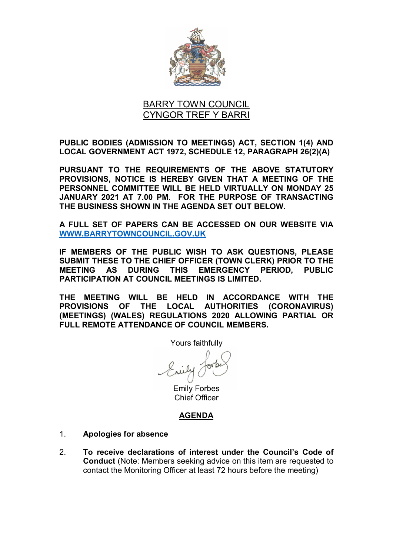

# BARRY TOWN COUNCIL CYNGOR TREF Y BARRI

**PUBLIC BODIES (ADMISSION TO MEETINGS) ACT, SECTION 1(4) AND LOCAL GOVERNMENT ACT 1972, SCHEDULE 12, PARAGRAPH 26(2)(A)**

**PURSUANT TO THE REQUIREMENTS OF THE ABOVE STATUTORY PROVISIONS, NOTICE IS HEREBY GIVEN THAT A MEETING OF THE PERSONNEL COMMITTEE WILL BE HELD VIRTUALLY ON MONDAY 25 JANUARY 2021 AT 7.00 PM. FOR THE PURPOSE OF TRANSACTING THE BUSINESS SHOWN IN THE AGENDA SET OUT BELOW.** 

**A FULL SET OF PAPERS CAN BE ACCESSED ON OUR WEBSITE VIA [WWW.BARRYTOWNCOUNCIL.GOV.UK](http://www.barrytowncouncil.gov.uk/)**

**IF MEMBERS OF THE PUBLIC WISH TO ASK QUESTIONS, PLEASE SUBMIT THESE TO THE CHIEF OFFICER (TOWN CLERK) PRIOR TO THE MEETING AS DURING THIS EMERGENCY PERIOD, PUBLIC PARTICIPATION AT COUNCIL MEETINGS IS LIMITED.** 

**THE MEETING WILL BE HELD IN ACCORDANCE WITH THE PROVISIONS OF THE LOCAL AUTHORITIES (CORONAVIRUS) (MEETINGS) (WALES) REGULATIONS 2020 ALLOWING PARTIAL OR FULL REMOTE ATTENDANCE OF COUNCIL MEMBERS.**

Yours faithfully

Emily Forbes Chief Officer

## **AGENDA**

- 1. **Apologies for absence**
- 2. **To receive declarations of interest under the Council's Code of Conduct** (Note: Members seeking advice on this item are requested to contact the Monitoring Officer at least 72 hours before the meeting)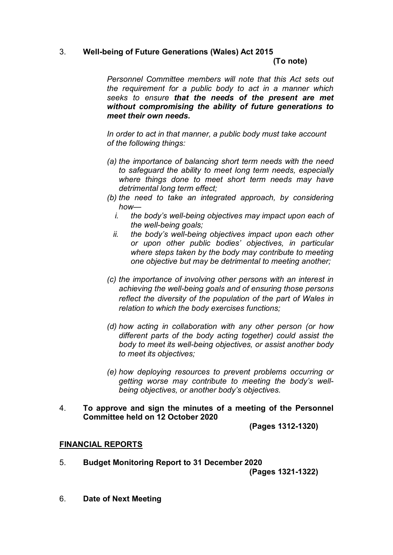# 3. **Well-being of Future Generations (Wales) Act 2015**

**(To note)**

*Personnel Committee members will note that this Act sets out the requirement for a public body to act in a manner which seeks to ensure that the needs of the present are met without compromising the ability of future generations to meet their own needs.*

*In order to act in that manner, a public body must take account of the following things:*

- *(a) the importance of balancing short term needs with the need to safeguard the ability to meet long term needs, especially where things done to meet short term needs may have detrimental long term effect;*
- *(b) the need to take an integrated approach, by considering how*
	- *i. the body's well-being objectives may impact upon each of the well-being goals;*
	- *ii. the body's well-being objectives impact upon each other or upon other public bodies' objectives, in particular where steps taken by the body may contribute to meeting one objective but may be detrimental to meeting another;*
- *(c) the importance of involving other persons with an interest in achieving the well-being goals and of ensuring those persons reflect the diversity of the population of the part of Wales in relation to which the body exercises functions;*
- *(d) how acting in collaboration with any other person (or how different parts of the body acting together) could assist the body to meet its well-being objectives, or assist another body to meet its objectives;*
- *(e) how deploying resources to prevent problems occurring or getting worse may contribute to meeting the body's wellbeing objectives, or another body's objectives.*
- 4. **To approve and sign the minutes of a meeting of the Personnel Committee held on 12 October 2020**

**(Pages 1312-1320)**

## **FINANCIAL REPORTS**

5. **Budget Monitoring Report to 31 December 2020**

**(Pages 1321-1322)**

6. **Date of Next Meeting**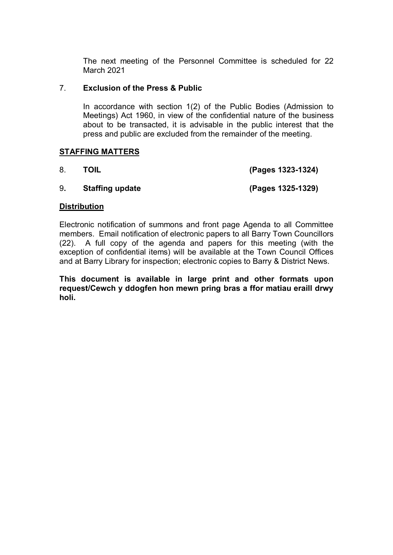The next meeting of the Personnel Committee is scheduled for 22 March 2021

## 7. **Exclusion of the Press & Public**

In accordance with section 1(2) of the Public Bodies (Admission to Meetings) Act 1960, in view of the confidential nature of the business about to be transacted, it is advisable in the public interest that the press and public are excluded from the remainder of the meeting.

## **STAFFING MATTERS**

8. **TOIL (Pages 1323-1324)**

## 9**. Staffing update (Pages 1325-1329)**

#### **Distribution**

Electronic notification of summons and front page Agenda to all Committee members. Email notification of electronic papers to all Barry Town Councillors (22). A full copy of the agenda and papers for this meeting (with the exception of confidential items) will be available at the Town Council Offices and at Barry Library for inspection; electronic copies to Barry & District News.

**This document is available in large print and other formats upon request/Cewch y ddogfen hon mewn pring bras a ffor matiau eraill drwy holi.**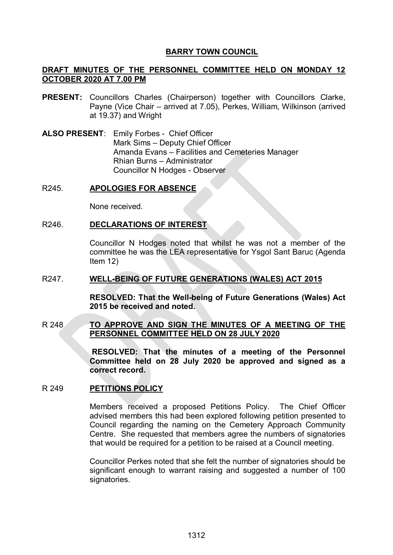## **BARRY TOWN COUNCIL**

## **DRAFT MINUTES OF THE PERSONNEL COMMITTEE HELD ON MONDAY 12 OCTOBER 2020 AT 7.00 PM**

- **PRESENT:** Councillors Charles (Chairperson) together with Councillors Clarke, Payne (Vice Chair – arrived at 7.05), Perkes, William, Wilkinson (arrived at 19.37) and Wright
- **ALSO PRESENT**: Emily Forbes Chief Officer Mark Sims – Deputy Chief Officer Amanda Evans – Facilities and Cemeteries Manager Rhian Burns – Administrator Councillor N Hodges - Observer

#### R245. **APOLOGIES FOR ABSENCE**

None received.

#### R246. **DECLARATIONS OF INTEREST**

Councillor N Hodges noted that whilst he was not a member of the committee he was the LEA representative for Ysgol Sant Baruc (Agenda Item 12)

#### R247. **WELL-BEING OF FUTURE GENERATIONS (WALES) ACT 2015**

**RESOLVED: That the Well-being of Future Generations (Wales) Act 2015 be received and noted.**

#### R 248 **TO APPROVE AND SIGN THE MINUTES OF A MEETING OF THE PERSONNEL COMMITTEE HELD ON 28 JULY 2020**

**RESOLVED: That the minutes of a meeting of the Personnel Committee held on 28 July 2020 be approved and signed as a correct record.** 

#### R 249 **PETITIONS POLICY**

Members received a proposed Petitions Policy. The Chief Officer advised members this had been explored following petition presented to Council regarding the naming on the Cemetery Approach Community Centre. She requested that members agree the numbers of signatories that would be required for a petition to be raised at a Council meeting.

Councillor Perkes noted that she felt the number of signatories should be significant enough to warrant raising and suggested a number of 100 signatories.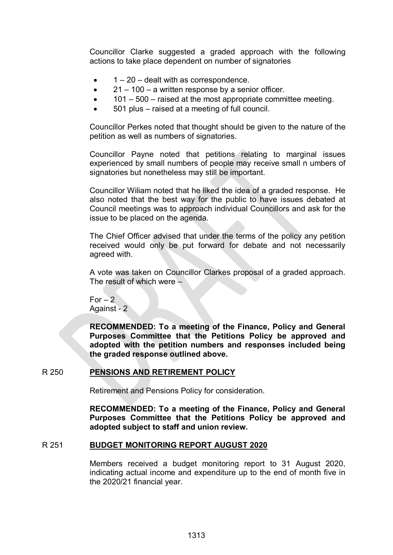Councillor Clarke suggested a graded approach with the following actions to take place dependent on number of signatories

- $\bullet$  1 20 dealt with as correspondence.
- $\bullet$  21 100 a written response by a senior officer.
- 101 500 raised at the most appropriate committee meeting.
- 501 plus raised at a meeting of full council.

Councillor Perkes noted that thought should be given to the nature of the petition as well as numbers of signatories.

Councillor Payne noted that petitions relating to marginal issues experienced by small numbers of people may receive small n umbers of signatories but nonetheless may still be important.

Councillor Wiliam noted that he liked the idea of a graded response. He also noted that the best way for the public to have issues debated at Council meetings was to approach individual Councillors and ask for the issue to be placed on the agenda.

The Chief Officer advised that under the terms of the policy any petition received would only be put forward for debate and not necessarily agreed with.

A vote was taken on Councillor Clarkes proposal of a graded approach. The result of which were –

For  $-2$ Against - 2

**RECOMMENDED: To a meeting of the Finance, Policy and General Purposes Committee that the Petitions Policy be approved and adopted with the petition numbers and responses included being the graded response outlined above.**

#### R 250 **PENSIONS AND RETIREMENT POLICY**

Retirement and Pensions Policy for consideration.

**RECOMMENDED: To a meeting of the Finance, Policy and General Purposes Committee that the Petitions Policy be approved and adopted subject to staff and union review.**

#### R 251 **BUDGET MONITORING REPORT AUGUST 2020**

Members received a budget monitoring report to 31 August 2020, indicating actual income and expenditure up to the end of month five in the 2020/21 financial year.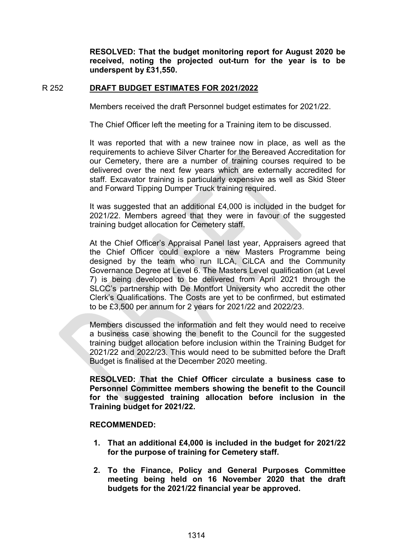**RESOLVED: That the budget monitoring report for August 2020 be received, noting the projected out-turn for the year is to be underspent by £31,550.**

#### R 252 **DRAFT BUDGET ESTIMATES FOR 2021/2022**

Members received the draft Personnel budget estimates for 2021/22.

The Chief Officer left the meeting for a Training item to be discussed.

It was reported that with a new trainee now in place, as well as the requirements to achieve Silver Charter for the Bereaved Accreditation for our Cemetery, there are a number of training courses required to be delivered over the next few years which are externally accredited for staff. Excavator training is particularly expensive as well as Skid Steer and Forward Tipping Dumper Truck training required.

It was suggested that an additional £4,000 is included in the budget for 2021/22. Members agreed that they were in favour of the suggested training budget allocation for Cemetery staff.

At the Chief Officer's Appraisal Panel last year, Appraisers agreed that the Chief Officer could explore a new Masters Programme being designed by the team who run ILCA, CiLCA and the Community Governance Degree at Level 6. The Masters Level qualification (at Level 7) is being developed to be delivered from April 2021 through the SLCC's partnership with De Montfort University who accredit the other Clerk's Qualifications. The Costs are yet to be confirmed, but estimated to be £3,500 per annum for 2 years for 2021/22 and 2022/23.

Members discussed the information and felt they would need to receive a business case showing the benefit to the Council for the suggested training budget allocation before inclusion within the Training Budget for 2021/22 and 2022/23. This would need to be submitted before the Draft Budget is finalised at the December 2020 meeting.

**RESOLVED: That the Chief Officer circulate a business case to Personnel Committee members showing the benefit to the Council for the suggested training allocation before inclusion in the Training budget for 2021/22.**

#### **RECOMMENDED:**

- **1. That an additional £4,000 is included in the budget for 2021/22 for the purpose of training for Cemetery staff.**
- **2. To the Finance, Policy and General Purposes Committee meeting being held on 16 November 2020 that the draft budgets for the 2021/22 financial year be approved.**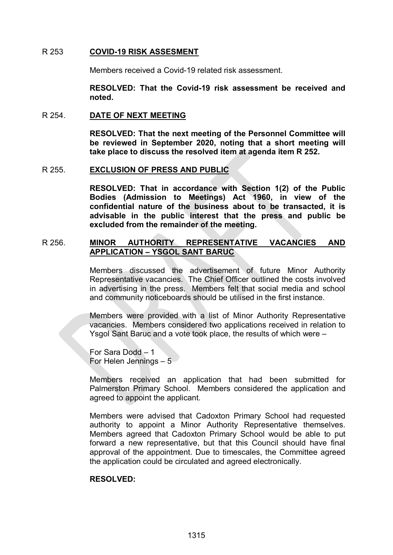#### R 253 **COVID-19 RISK ASSESMENT**

Members received a Covid-19 related risk assessment.

**RESOLVED: That the Covid-19 risk assessment be received and noted.**

#### R 254. **DATE OF NEXT MEETING**

**RESOLVED: That the next meeting of the Personnel Committee will be reviewed in September 2020, noting that a short meeting will take place to discuss the resolved item at agenda item R 252.** 

#### R 255. **EXCLUSION OF PRESS AND PUBLIC**

**RESOLVED: That in accordance with Section 1(2) of the Public Bodies (Admission to Meetings) Act 1960, in view of the confidential nature of the business about to be transacted, it is advisable in the public interest that the press and public be excluded from the remainder of the meeting.** 

### R 256. **MINOR AUTHORITY REPRESENTATIVE VACANCIES AND APPLICATION – YSGOL SANT BARUC**

Members discussed the advertisement of future Minor Authority Representative vacancies. The Chief Officer outlined the costs involved in advertising in the press. Members felt that social media and school and community noticeboards should be utilised in the first instance.

Members were provided with a list of Minor Authority Representative vacancies. Members considered two applications received in relation to Ysgol Sant Baruc and a vote took place, the results of which were –

For Sara Dodd – 1 For Helen Jennings  $-5$ 

Members received an application that had been submitted for Palmerston Primary School. Members considered the application and agreed to appoint the applicant.

Members were advised that Cadoxton Primary School had requested authority to appoint a Minor Authority Representative themselves. Members agreed that Cadoxton Primary School would be able to put forward a new representative, but that this Council should have final approval of the appointment. Due to timescales, the Committee agreed the application could be circulated and agreed electronically.

#### **RESOLVED:**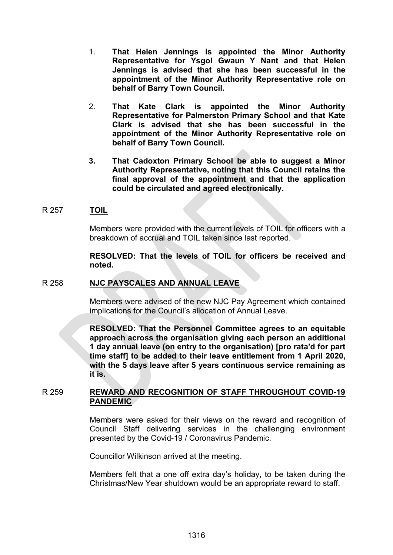- 1. **That Helen Jennings is appointed the Minor Authority Representative for Ysgol Gwaun Y Nant and that Helen Jennings is advised that she has been successful in the appointment of the Minor Authority Representative role on behalf of Barry Town Council.**
- 2. **That Kate Clark is appointed the Minor Authority Representative for Palmerston Primary School and that Kate Clark is advised that she has been successful in the appointment of the Minor Authority Representative role on behalf of Barry Town Council.**
- **3. That Cadoxton Primary School be able to suggest a Minor Authority Representative, noting that this Council retains the final approval of the appointment and that the application could be circulated and agreed electronically.**

#### R 257 **TOIL**

Members were provided with the current levels of TOIL for officers with a breakdown of accrual and TOIL taken since last reported.

**RESOLVED: That the levels of TOIL for officers be received and noted.**

#### R 258 **NJC PAYSCALES AND ANNUAL LEAVE**

Members were advised of the new NJC Pay Agreement which contained implications for the Council's allocation of Annual Leave.

**RESOLVED: That the Personnel Committee agrees to an equitable approach across the organisation giving each person an additional 1 day annual leave (on entry to the organisation) [pro rata'd for part time staff] to be added to their leave entitlement from 1 April 2020, with the 5 days leave after 5 years continuous service remaining as it is.**

#### R 259 **REWARD AND RECOGNITION OF STAFF THROUGHOUT COVID-19 PANDEMIC**

Members were asked for their views on the reward and recognition of Council Staff delivering services in the challenging environment presented by the Covid-19 / Coronavirus Pandemic.

Councillor Wilkinson arrived at the meeting.

Members felt that a one off extra day's holiday, to be taken during the Christmas/New Year shutdown would be an appropriate reward to staff.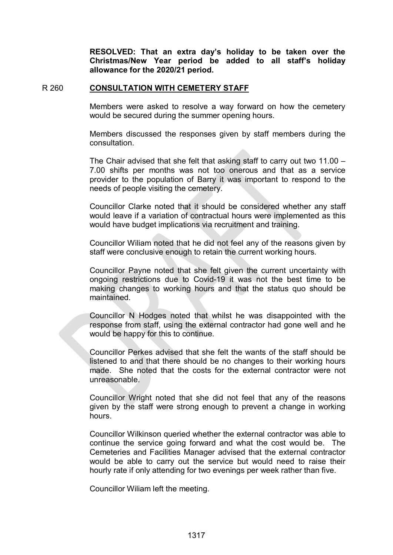**RESOLVED: That an extra day's holiday to be taken over the Christmas/New Year period be added to all staff's holiday allowance for the 2020/21 period.**

#### R 260 **CONSULTATION WITH CEMETERY STAFF**

Members were asked to resolve a way forward on how the cemetery would be secured during the summer opening hours.

Members discussed the responses given by staff members during the consultation.

The Chair advised that she felt that asking staff to carry out two 11.00 – 7.00 shifts per months was not too onerous and that as a service provider to the population of Barry it was important to respond to the needs of people visiting the cemetery.

Councillor Clarke noted that it should be considered whether any staff would leave if a variation of contractual hours were implemented as this would have budget implications via recruitment and training.

Councillor Wiliam noted that he did not feel any of the reasons given by staff were conclusive enough to retain the current working hours.

Councillor Payne noted that she felt given the current uncertainty with ongoing restrictions due to Covid-19 it was not the best time to be making changes to working hours and that the status quo should be maintained.

Councillor N Hodges noted that whilst he was disappointed with the response from staff, using the external contractor had gone well and he would be happy for this to continue.

Councillor Perkes advised that she felt the wants of the staff should be listened to and that there should be no changes to their working hours made. She noted that the costs for the external contractor were not unreasonable.

Councillor Wright noted that she did not feel that any of the reasons given by the staff were strong enough to prevent a change in working hours.

Councillor Wilkinson queried whether the external contractor was able to continue the service going forward and what the cost would be. The Cemeteries and Facilities Manager advised that the external contractor would be able to carry out the service but would need to raise their hourly rate if only attending for two evenings per week rather than five.

Councillor Wiliam left the meeting.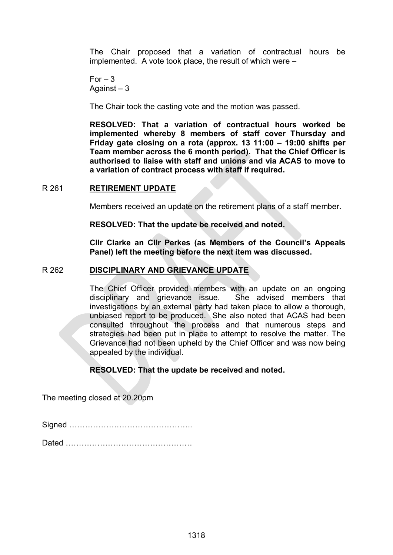The Chair proposed that a variation of contractual hours be implemented. A vote took place, the result of which were –

 $For -3$ Against – 3

The Chair took the casting vote and the motion was passed.

**RESOLVED: That a variation of contractual hours worked be implemented whereby 8 members of staff cover Thursday and Friday gate closing on a rota (approx. 13 11:00 – 19:00 shifts per Team member across the 6 month period). That the Chief Officer is authorised to liaise with staff and unions and via ACAS to move to a variation of contract process with staff if required.**

#### R 261 **RETIREMENT UPDATE**

Members received an update on the retirement plans of a staff member.

**RESOLVED: That the update be received and noted.**

**Cllr Clarke an Cllr Perkes (as Members of the Council's Appeals Panel) left the meeting before the next item was discussed.**

#### R 262 **DISCIPLINARY AND GRIEVANCE UPDATE**

The Chief Officer provided members with an update on an ongoing disciplinary and grievance issue. She advised members that investigations by an external party had taken place to allow a thorough, unbiased report to be produced. She also noted that ACAS had been consulted throughout the process and that numerous steps and strategies had been put in place to attempt to resolve the matter. The Grievance had not been upheld by the Chief Officer and was now being appealed by the individual.

#### **RESOLVED: That the update be received and noted.**

The meeting closed at 20.20pm

Signed ………………………………………..

Dated …………………………………………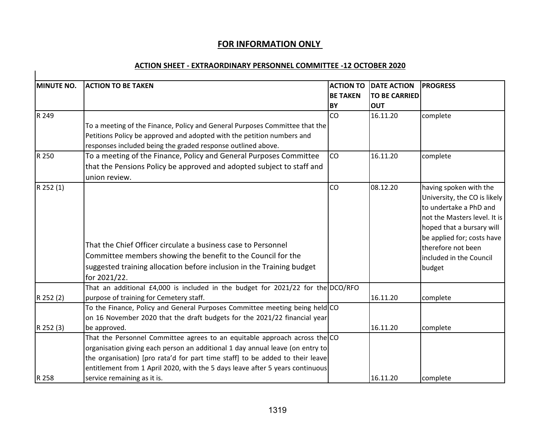# **FOR INFORMATION ONLY**

#### **ACTION SHEET - EXTRAORDINARY PERSONNEL COMMITTEE -12 OCTOBER 2020**

| <b>MINUTE NO.</b> | <b>ACTION TO BE TAKEN</b>                                                                                                                                                                                                                                                                                                     |                              | <b>ACTION TO</b><br><b>DATE ACTION</b><br><b>TO BE CARRIED</b> | <b>PROGRESS</b>                                                                                                                                                                                                                        |  |
|-------------------|-------------------------------------------------------------------------------------------------------------------------------------------------------------------------------------------------------------------------------------------------------------------------------------------------------------------------------|------------------------------|----------------------------------------------------------------|----------------------------------------------------------------------------------------------------------------------------------------------------------------------------------------------------------------------------------------|--|
|                   |                                                                                                                                                                                                                                                                                                                               | <b>BE TAKEN</b><br><b>BY</b> | <b>OUT</b>                                                     |                                                                                                                                                                                                                                        |  |
| R 249             |                                                                                                                                                                                                                                                                                                                               | CO                           | 16.11.20                                                       | complete                                                                                                                                                                                                                               |  |
|                   | To a meeting of the Finance, Policy and General Purposes Committee that the<br>Petitions Policy be approved and adopted with the petition numbers and<br>responses included being the graded response outlined above.                                                                                                         |                              |                                                                |                                                                                                                                                                                                                                        |  |
| R 250             | To a meeting of the Finance, Policy and General Purposes Committee                                                                                                                                                                                                                                                            | <b>CO</b>                    | 16.11.20                                                       | complete                                                                                                                                                                                                                               |  |
|                   | that the Pensions Policy be approved and adopted subject to staff and<br>union review.                                                                                                                                                                                                                                        |                              |                                                                |                                                                                                                                                                                                                                        |  |
| R 252 (1)         | That the Chief Officer circulate a business case to Personnel<br>Committee members showing the benefit to the Council for the<br>suggested training allocation before inclusion in the Training budget<br>for 2021/22.                                                                                                        | CO                           | 08.12.20                                                       | having spoken with the<br>University, the CO is likely<br>to undertake a PhD and<br>not the Masters level. It is<br>hoped that a bursary will<br>be applied for; costs have<br>therefore not been<br>included in the Council<br>budget |  |
|                   | That an additional £4,000 is included in the budget for 2021/22 for the DCO/RFO                                                                                                                                                                                                                                               |                              |                                                                |                                                                                                                                                                                                                                        |  |
| R 252 (2)         | purpose of training for Cemetery staff.                                                                                                                                                                                                                                                                                       |                              | 16.11.20                                                       | complete                                                                                                                                                                                                                               |  |
|                   | To the Finance, Policy and General Purposes Committee meeting being held CO<br>on 16 November 2020 that the draft budgets for the 2021/22 financial year                                                                                                                                                                      |                              |                                                                |                                                                                                                                                                                                                                        |  |
| R 252 (3)         | be approved.                                                                                                                                                                                                                                                                                                                  |                              | 16.11.20                                                       | complete                                                                                                                                                                                                                               |  |
|                   | That the Personnel Committee agrees to an equitable approach across the CO<br>organisation giving each person an additional 1 day annual leave (on entry to<br>the organisation) [pro rata'd for part time staff] to be added to their leave<br>entitlement from 1 April 2020, with the 5 days leave after 5 years continuous |                              |                                                                |                                                                                                                                                                                                                                        |  |
| R 258             | service remaining as it is.                                                                                                                                                                                                                                                                                                   |                              | 16.11.20                                                       | complete                                                                                                                                                                                                                               |  |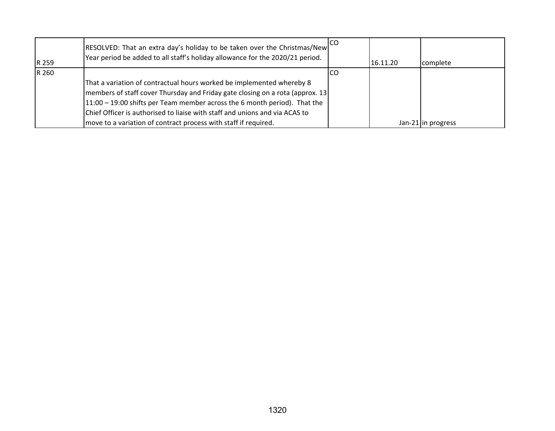| R 259 | RESOLVED: That an extra day's holiday to be taken over the Christmas/New<br>Year period be added to all staff's holiday allowance for the 2020/21 period. |     | 16.11.20 | complete           |
|-------|-----------------------------------------------------------------------------------------------------------------------------------------------------------|-----|----------|--------------------|
| R 260 |                                                                                                                                                           | ICO |          |                    |
|       | That a variation of contractual hours worked be implemented whereby 8                                                                                     |     |          |                    |
|       | members of staff cover Thursday and Friday gate closing on a rota (approx. 13)                                                                            |     |          |                    |
|       | 11:00 – 19:00 shifts per Team member across the 6 month period). That the                                                                                 |     |          |                    |
|       | Chief Officer is authorised to liaise with staff and unions and via ACAS to                                                                               |     |          |                    |
|       | move to a variation of contract process with staff if required.                                                                                           |     |          | Jan-21 in progress |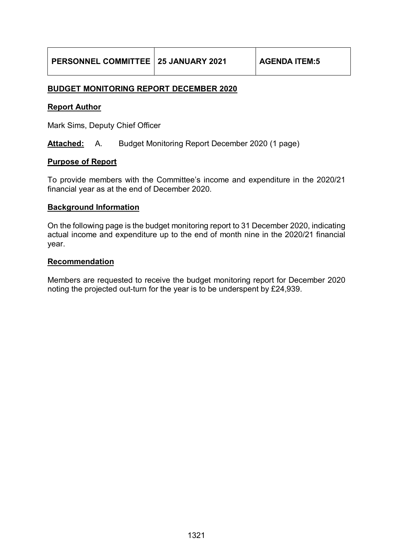## **BUDGET MONITORING REPORT DECEMBER 2020**

## **Report Author**

Mark Sims, Deputy Chief Officer

**Attached:** A. Budget Monitoring Report December 2020 (1 page)

#### **Purpose of Report**

To provide members with the Committee's income and expenditure in the 2020/21 financial year as at the end of December 2020.

#### **Background Information**

On the following page is the budget monitoring report to 31 December 2020, indicating actual income and expenditure up to the end of month nine in the 2020/21 financial year.

#### **Recommendation**

Members are requested to receive the budget monitoring report for December 2020 noting the projected out-turn for the year is to be underspent by £24,939.